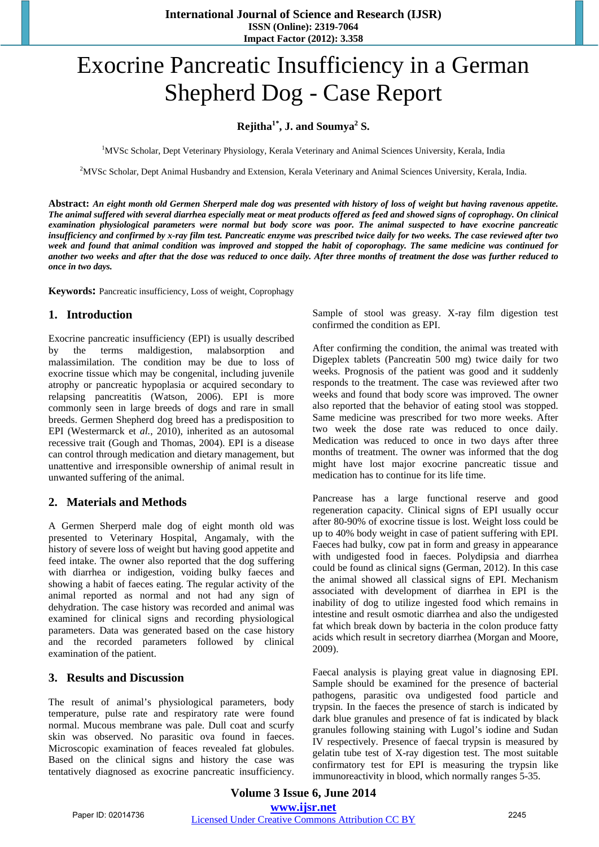**International Journal of Science and Research (IJSR) ISSN (Online): 2319-7064 Impact Factor (2012): 3.358**

# Exocrine Pancreatic Insufficiency in a German Shepherd Dog - Case Report

# $\text{Rejitha}^{1*}$ , J. and Soumya<sup>2</sup> S.

<sup>1</sup>MVSc Scholar, Dept Veterinary Physiology, Kerala Veterinary and Animal Sciences University, Kerala, India

2 MVSc Scholar, Dept Animal Husbandry and Extension, Kerala Veterinary and Animal Sciences University, Kerala, India.

**Abstract:** *An eight month old Germen Sherperd male dog was presented with history of loss of weight but having ravenous appetite. The animal suffered with several diarrhea especially meat or meat products offered as feed and showed signs of coprophagy. On clinical examination physiological parameters were normal but body score was poor. The animal suspected to have exocrine pancreatic insufficiency and confirmed by x-ray film test. Pancreatic enzyme was prescribed twice daily for two weeks. The case reviewed after two week and found that animal condition was improved and stopped the habit of coporophagy. The same medicine was continued for another two weeks and after that the dose was reduced to once daily. After three months of treatment the dose was further reduced to once in two days.* 

**Keywords:** Pancreatic insufficiency, Loss of weight, Coprophagy

#### **1. Introduction**

Exocrine pancreatic insufficiency (EPI) is usually described by the terms maldigestion, malabsorption and malassimilation. The condition may be due to loss of exocrine tissue which may be congenital, including juvenile atrophy or pancreatic hypoplasia or acquired secondary to relapsing pancreatitis (Watson, 2006). EPI is more commonly seen in large breeds of dogs and rare in small breeds. Germen Shepherd dog breed has a predisposition to EPI (Westermarck et *al.*, 2010), inherited as an autosomal recessive trait (Gough and Thomas, 2004). EPI is a disease can control through medication and dietary management, but unattentive and irresponsible ownership of animal result in unwanted suffering of the animal.

#### **2. Materials and Methods**

A Germen Sherperd male dog of eight month old was presented to Veterinary Hospital, Angamaly, with the history of severe loss of weight but having good appetite and feed intake. The owner also reported that the dog suffering with diarrhea or indigestion, voiding bulky faeces and showing a habit of faeces eating. The regular activity of the animal reported as normal and not had any sign of dehydration. The case history was recorded and animal was examined for clinical signs and recording physiological parameters. Data was generated based on the case history and the recorded parameters followed by clinical examination of the patient.

#### **3. Results and Discussion**

The result of animal's physiological parameters, body temperature, pulse rate and respiratory rate were found normal. Mucous membrane was pale. Dull coat and scurfy skin was observed. No parasitic ova found in faeces. Microscopic examination of feaces revealed fat globules. Based on the clinical signs and history the case was tentatively diagnosed as exocrine pancreatic insufficiency. Sample of stool was greasy. X-ray film digestion test confirmed the condition as EPI.

After confirming the condition, the animal was treated with Digeplex tablets (Pancreatin 500 mg) twice daily for two weeks. Prognosis of the patient was good and it suddenly responds to the treatment. The case was reviewed after two weeks and found that body score was improved. The owner also reported that the behavior of eating stool was stopped. Same medicine was prescribed for two more weeks. After two week the dose rate was reduced to once daily. Medication was reduced to once in two days after three months of treatment. The owner was informed that the dog might have lost major exocrine pancreatic tissue and medication has to continue for its life time.

Pancrease has a large functional reserve and good regeneration capacity. Clinical signs of EPI usually occur after 80-90% of exocrine tissue is lost. Weight loss could be up to 40% body weight in case of patient suffering with EPI. Faeces had bulky, cow pat in form and greasy in appearance with undigested food in faeces. Polydipsia and diarrhea could be found as clinical signs (German, 2012). In this case the animal showed all classical signs of EPI. Mechanism associated with development of diarrhea in EPI is the inability of dog to utilize ingested food which remains in intestine and result osmotic diarrhea and also the undigested fat which break down by bacteria in the colon produce fatty acids which result in secretory diarrhea (Morgan and Moore, 2009).

Faecal analysis is playing great value in diagnosing EPI. Sample should be examined for the presence of bacterial pathogens, parasitic ova undigested food particle and trypsin. In the faeces the presence of starch is indicated by dark blue granules and presence of fat is indicated by black granules following staining with Lugol's iodine and Sudan IV respectively. Presence of faecal trypsin is measured by gelatin tube test of X-ray digestion test. The most suitable confirmatory test for EPI is measuring the trypsin like immunoreactivity in blood, which normally ranges 5-35.